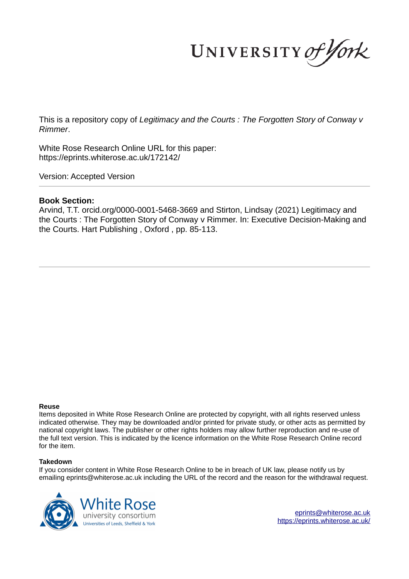UNIVERSITY of York

This is a repository copy of *Legitimacy and the Courts : The Forgotten Story of Conway v Rimmer*.

White Rose Research Online URL for this paper: https://eprints.whiterose.ac.uk/172142/

Version: Accepted Version

#### **Book Section:**

Arvind, T.T. orcid.org/0000-0001-5468-3669 and Stirton, Lindsay (2021) Legitimacy and the Courts : The Forgotten Story of Conway v Rimmer. In: Executive Decision-Making and the Courts. Hart Publishing , Oxford , pp. 85-113.

#### **Reuse**

Items deposited in White Rose Research Online are protected by copyright, with all rights reserved unless indicated otherwise. They may be downloaded and/or printed for private study, or other acts as permitted by national copyright laws. The publisher or other rights holders may allow further reproduction and re-use of the full text version. This is indicated by the licence information on the White Rose Research Online record for the item.

#### **Takedown**

If you consider content in White Rose Research Online to be in breach of UK law, please notify us by emailing eprints@whiterose.ac.uk including the URL of the record and the reason for the withdrawal request.



eprints@whiterose.ac.uk https://eprints.whiterose.ac.uk/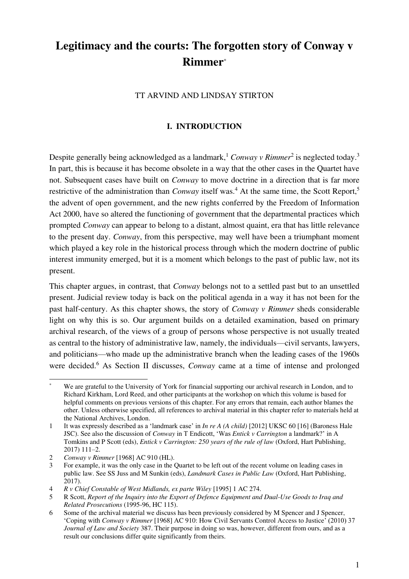# **Legitimacy and the courts: The forgotten story of Conway v Rimmer**\*

TT ARVIND AND LINDSAY STIRTON

## **I. INTRODUCTION**

Despite generally being acknowledged as a landmark,<sup>1</sup> *Conway v Rimmer*<sup>2</sup> is neglected today.<sup>3</sup> In part, this is because it has become obsolete in a way that the other cases in the Quartet have not. Subsequent cases have built on *Conway* to move doctrine in a direction that is far more restrictive of the administration than *Conway* itself was.<sup>4</sup> At the same time, the Scott Report,<sup>5</sup> the advent of open government, and the new rights conferred by the Freedom of Information Act 2000, have so altered the functioning of government that the departmental practices which prompted *Conway* can appear to belong to a distant, almost quaint, era that has little relevance to the present day. *Conway*, from this perspective, may well have been a triumphant moment which played a key role in the historical process through which the modern doctrine of public interest immunity emerged, but it is a moment which belongs to the past of public law, not its present.

This chapter argues, in contrast, that *Conway* belongs not to a settled past but to an unsettled present. Judicial review today is back on the political agenda in a way it has not been for the past half-century. As this chapter shows, the story of *Conway v Rimmer* sheds considerable light on why this is so. Our argument builds on a detailed examination, based on primary archival research, of the views of a group of persons whose perspective is not usually treated as central to the history of administrative law, namely, the individuals—civil servants, lawyers, and politicians—who made up the administrative branch when the leading cases of the 1960s were decided.<sup>6</sup> As Section II discusses, *Conway* came at a time of intense and prolonged

<sup>\*</sup> We are grateful to the University of York for financial supporting our archival research in London, and to Richard Kirkham, Lord Reed, and other participants at the workshop on which this volume is based for helpful comments on previous versions of this chapter. For any errors that remain, each author blames the other. Unless otherwise specified, all references to archival material in this chapter refer to materials held at the National Archives, London.

<sup>1</sup> It was expressly described as a 'landmark case' in *In re A (A child)* [2012] UKSC 60 [16] (Baroness Hale JSC). See also the discussion of *Conway* in T Endicott, 'Was *Entick v Carrington* a landmark?' in A Tomkins and P Scott (eds), *Entick v Carrington: 250 years of the rule of law* (Oxford, Hart Publishing, 2017) 111–2.

<sup>2</sup> *Conway v Rimmer* [1968] AC 910 (HL).

<sup>3</sup> For example, it was the only case in the Quartet to be left out of the recent volume on leading cases in public law. See SS Juss and M Sunkin (eds), *Landmark Cases in Public Law* (Oxford, Hart Publishing, 2017).

<sup>4</sup> *R v Chief Constable of West Midlands, ex parte Wiley* [1995] 1 AC 274.

<sup>5</sup> R Scott, *Report of the Inquiry into the Export of Defence Equipment and Dual-Use Goods to Iraq and Related Prosecutions* (1995-96, HC 115).

<sup>6</sup> Some of the archival material we discuss has been previously considered by M Spencer and J Spencer, 'Coping with *Conway v Rimmer* [1968] AC 910: How Civil Servants Control Access to Justice' (2010) 37 *Journal of Law and Society* 387. Their purpose in doing so was, however, different from ours, and as a result our conclusions differ quite significantly from theirs.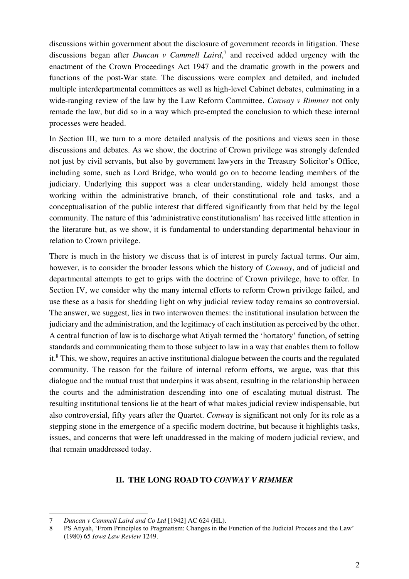discussions within government about the disclosure of government records in litigation. These discussions began after *Duncan v Cammell Laird*, 7 and received added urgency with the enactment of the Crown Proceedings Act 1947 and the dramatic growth in the powers and functions of the post-War state. The discussions were complex and detailed, and included multiple interdepartmental committees as well as high-level Cabinet debates, culminating in a wide-ranging review of the law by the Law Reform Committee. *Conway v Rimmer* not only remade the law, but did so in a way which pre-empted the conclusion to which these internal processes were headed.

In Section III, we turn to a more detailed analysis of the positions and views seen in those discussions and debates. As we show, the doctrine of Crown privilege was strongly defended not just by civil servants, but also by government lawyers in the Treasury Solicitor's Office, including some, such as Lord Bridge, who would go on to become leading members of the judiciary. Underlying this support was a clear understanding, widely held amongst those working within the administrative branch, of their constitutional role and tasks, and a conceptualisation of the public interest that differed significantly from that held by the legal community. The nature of this 'administrative constitutionalism' has received little attention in the literature but, as we show, it is fundamental to understanding departmental behaviour in relation to Crown privilege.

There is much in the history we discuss that is of interest in purely factual terms. Our aim, however, is to consider the broader lessons which the history of *Conway*, and of judicial and departmental attempts to get to grips with the doctrine of Crown privilege, have to offer. In Section IV, we consider why the many internal efforts to reform Crown privilege failed, and use these as a basis for shedding light on why judicial review today remains so controversial. The answer, we suggest, lies in two interwoven themes: the institutional insulation between the judiciary and the administration, and the legitimacy of each institution as perceived by the other. A central function of law is to discharge what Atiyah termed the 'hortatory' function, of setting standards and communicating them to those subject to law in a way that enables them to follow it.<sup>8</sup> This, we show, requires an active institutional dialogue between the courts and the regulated community. The reason for the failure of internal reform efforts, we argue, was that this dialogue and the mutual trust that underpins it was absent, resulting in the relationship between the courts and the administration descending into one of escalating mutual distrust. The resulting institutional tensions lie at the heart of what makes judicial review indispensable, but also controversial, fifty years after the Quartet. *Conway* is significant not only for its role as a stepping stone in the emergence of a specific modern doctrine, but because it highlights tasks, issues, and concerns that were left unaddressed in the making of modern judicial review, and that remain unaddressed today.

#### **II. THE LONG ROAD TO** *CONWAY V RIMMER*

<sup>7</sup> *Duncan v Cammell Laird and Co Ltd* [1942] AC 624 (HL).

<sup>8</sup> PS Atiyah, 'From Principles to Pragmatism: Changes in the Function of the Judicial Process and the Law' (1980) 65 *Iowa Law Review* 1249.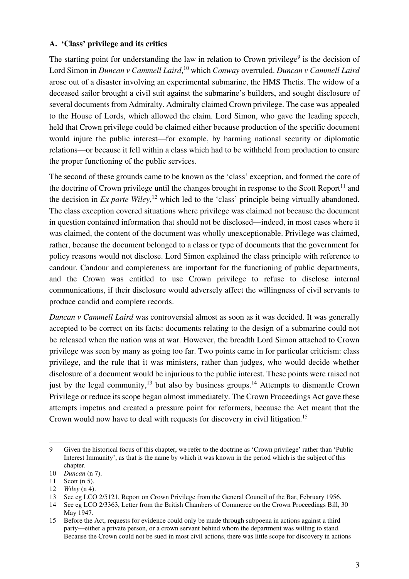## **A. 'Class' privilege and its critics**

The starting point for understanding the law in relation to Crown privilege<sup>9</sup> is the decision of Lord Simon in *Duncan v Cammell Laird*, <sup>10</sup> which *Conway* overruled. *Duncan v Cammell Laird* arose out of a disaster involving an experimental submarine, the HMS Thetis. The widow of a deceased sailor brought a civil suit against the submarine's builders, and sought disclosure of several documents from Admiralty. Admiralty claimed Crown privilege. The case was appealed to the House of Lords, which allowed the claim. Lord Simon, who gave the leading speech, held that Crown privilege could be claimed either because production of the specific document would injure the public interest—for example, by harming national security or diplomatic relations—or because it fell within a class which had to be withheld from production to ensure the proper functioning of the public services.

The second of these grounds came to be known as the 'class' exception, and formed the core of the doctrine of Crown privilege until the changes brought in response to the Scott Report<sup>11</sup> and the decision in *Ex parte Wiley*, <sup>12</sup> which led to the 'class' principle being virtually abandoned. The class exception covered situations where privilege was claimed not because the document in question contained information that should not be disclosed—indeed, in most cases where it was claimed, the content of the document was wholly unexceptionable. Privilege was claimed, rather, because the document belonged to a class or type of documents that the government for policy reasons would not disclose. Lord Simon explained the class principle with reference to candour. Candour and completeness are important for the functioning of public departments, and the Crown was entitled to use Crown privilege to refuse to disclose internal communications, if their disclosure would adversely affect the willingness of civil servants to produce candid and complete records.

*Duncan v Cammell Laird* was controversial almost as soon as it was decided. It was generally accepted to be correct on its facts: documents relating to the design of a submarine could not be released when the nation was at war. However, the breadth Lord Simon attached to Crown privilege was seen by many as going too far. Two points came in for particular criticism: class privilege, and the rule that it was ministers, rather than judges, who would decide whether disclosure of a document would be injurious to the public interest. These points were raised not just by the legal community,<sup>13</sup> but also by business groups.<sup>14</sup> Attempts to dismantle Crown Privilege or reduce its scope began almost immediately. The Crown Proceedings Act gave these attempts impetus and created a pressure point for reformers, because the Act meant that the Crown would now have to deal with requests for discovery in civil litigation.<sup>15</sup>

<sup>9</sup> Given the historical focus of this chapter, we refer to the doctrine as 'Crown privilege' rather than 'Public Interest Immunity', as that is the name by which it was known in the period which is the subject of this chapter.

<sup>10</sup> *Duncan* (n 7).

<sup>11</sup> Scott (n 5).

<sup>12</sup> *Wiley* (n 4).

See eg LCO 2/5121, Report on Crown Privilege from the General Council of the Bar, February 1956.

<sup>14</sup> See eg LCO 2/3363, Letter from the British Chambers of Commerce on the Crown Proceedings Bill, 30 May 1947.

<sup>15</sup> Before the Act, requests for evidence could only be made through subpoena in actions against a third party—either a private person, or a crown servant behind whom the department was willing to stand. Because the Crown could not be sued in most civil actions, there was little scope for discovery in actions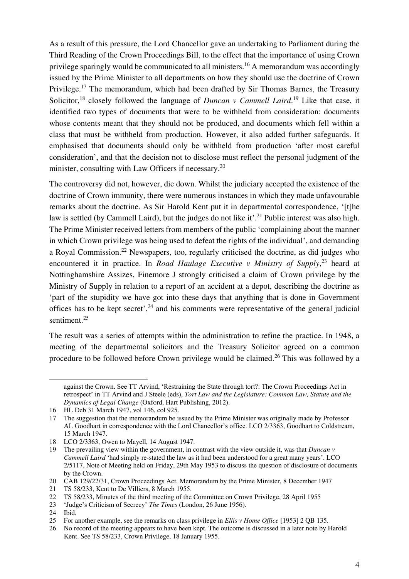As a result of this pressure, the Lord Chancellor gave an undertaking to Parliament during the Third Reading of the Crown Proceedings Bill, to the effect that the importance of using Crown privilege sparingly would be communicated to all ministers.<sup>16</sup> A memorandum was accordingly issued by the Prime Minister to all departments on how they should use the doctrine of Crown Privilege.<sup>17</sup> The memorandum, which had been drafted by Sir Thomas Barnes, the Treasury Solicitor,<sup>18</sup> closely followed the language of *Duncan v Cammell Laird*.<sup>19</sup> Like that case, it identified two types of documents that were to be withheld from consideration: documents whose contents meant that they should not be produced, and documents which fell within a class that must be withheld from production. However, it also added further safeguards. It emphasised that documents should only be withheld from production 'after most careful consideration', and that the decision not to disclose must reflect the personal judgment of the minister, consulting with Law Officers if necessary.<sup>20</sup>

The controversy did not, however, die down. Whilst the judiciary accepted the existence of the doctrine of Crown immunity, there were numerous instances in which they made unfavourable remarks about the doctrine. As Sir Harold Kent put it in departmental correspondence, '[t]he law is settled (by Cammell Laird), but the judges do not like it'.<sup>21</sup> Public interest was also high. The Prime Minister received letters from members of the public 'complaining about the manner in which Crown privilege was being used to defeat the rights of the individual', and demanding a Royal Commission.<sup>22</sup> Newspapers, too, regularly criticised the doctrine, as did judges who encountered it in practice. In *Road Haulage Executive v Ministry of Supply*, <sup>23</sup> heard at Nottinghamshire Assizes, Finemore J strongly criticised a claim of Crown privilege by the Ministry of Supply in relation to a report of an accident at a depot, describing the doctrine as 'part of the stupidity we have got into these days that anything that is done in Government offices has to be kept secret',  $24$  and his comments were representative of the general judicial sentiment.<sup>25</sup>

The result was a series of attempts within the administration to refine the practice. In 1948, a meeting of the departmental solicitors and the Treasury Solicitor agreed on a common procedure to be followed before Crown privilege would be claimed.<sup>26</sup> This was followed by a

against the Crown. See TT Arvind, 'Restraining the State through tort?: The Crown Proceedings Act in retrospect' in TT Arvind and J Steele (eds), *Tort Law and the Legislature: Common Law, Statute and the Dynamics of Legal Change* (Oxford, Hart Publishing, 2012).

<sup>16</sup> HL Deb 31 March 1947, vol 146, col 925.

<sup>17</sup> The suggestion that the memorandum be issued by the Prime Minister was originally made by Professor AL Goodhart in correspondence with the Lord Chancellor's office. LCO 2/3363, Goodhart to Coldstream, 15 March 1947.

<sup>18</sup> LCO 2/3363, Owen to Mayell, 14 August 1947.

<sup>19</sup> The prevailing view within the government, in contrast with the view outside it, was that *Duncan v Cammell Laird* 'had simply re-stated the law as it had been understood for a great many years'. LCO 2/5117, Note of Meeting held on Friday, 29th May 1953 to discuss the question of disclosure of documents by the Crown.

<sup>20</sup> CAB 129/22/31, Crown Proceedings Act, Memorandum by the Prime Minister, 8 December 1947

<sup>21</sup> TS 58/233, Kent to De Villiers, 8 March 1955.

<sup>22</sup> TS 58/233, Minutes of the third meeting of the Committee on Crown Privilege, 28 April 1955<br>23 'Judge's Criticism of Secrecy' The Times (London, 26 June 1956).

<sup>23</sup> 'Judge's Criticism of Secrecy' *The Times* (London, 26 June 1956).

<sup>24</sup> Ibid.

<sup>25</sup> For another example, see the remarks on class privilege in *Ellis v Home Office* [1953] 2 QB 135.

<sup>26</sup> No record of the meeting appears to have been kept. The outcome is discussed in a later note by Harold Kent. See TS 58/233, Crown Privilege, 18 January 1955.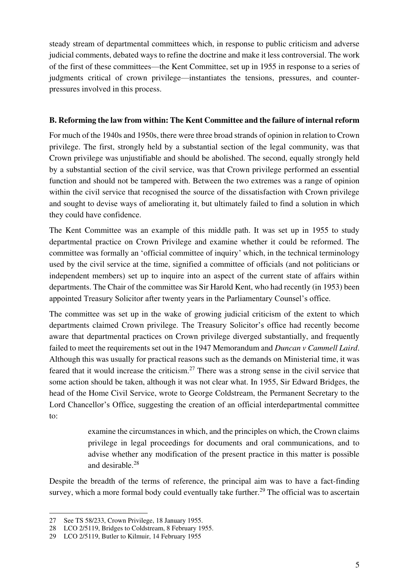steady stream of departmental committees which, in response to public criticism and adverse judicial comments, debated ways to refine the doctrine and make it less controversial. The work of the first of these committees—the Kent Committee, set up in 1955 in response to a series of judgments critical of crown privilege—instantiates the tensions, pressures, and counterpressures involved in this process.

# **B. Reforming the law from within: The Kent Committee and the failure of internal reform**

For much of the 1940s and 1950s, there were three broad strands of opinion in relation to Crown privilege. The first, strongly held by a substantial section of the legal community, was that Crown privilege was unjustifiable and should be abolished. The second, equally strongly held by a substantial section of the civil service, was that Crown privilege performed an essential function and should not be tampered with. Between the two extremes was a range of opinion within the civil service that recognised the source of the dissatisfaction with Crown privilege and sought to devise ways of ameliorating it, but ultimately failed to find a solution in which they could have confidence.

The Kent Committee was an example of this middle path. It was set up in 1955 to study departmental practice on Crown Privilege and examine whether it could be reformed. The committee was formally an 'official committee of inquiry' which, in the technical terminology used by the civil service at the time, signified a committee of officials (and not politicians or independent members) set up to inquire into an aspect of the current state of affairs within departments. The Chair of the committee was Sir Harold Kent, who had recently (in 1953) been appointed Treasury Solicitor after twenty years in the Parliamentary Counsel's office.

The committee was set up in the wake of growing judicial criticism of the extent to which departments claimed Crown privilege. The Treasury Solicitor's office had recently become aware that departmental practices on Crown privilege diverged substantially, and frequently failed to meet the requirements set out in the 1947 Memorandum and *Duncan v Cammell Laird*. Although this was usually for practical reasons such as the demands on Ministerial time, it was feared that it would increase the criticism.<sup>27</sup> There was a strong sense in the civil service that some action should be taken, although it was not clear what. In 1955, Sir Edward Bridges, the head of the Home Civil Service, wrote to George Coldstream, the Permanent Secretary to the Lord Chancellor's Office, suggesting the creation of an official interdepartmental committee to:

> examine the circumstances in which, and the principles on which, the Crown claims privilege in legal proceedings for documents and oral communications, and to advise whether any modification of the present practice in this matter is possible and desirable.<sup>28</sup>

Despite the breadth of the terms of reference, the principal aim was to have a fact-finding survey, which a more formal body could eventually take further.<sup>29</sup> The official was to ascertain

<sup>27</sup> See TS 58/233, Crown Privilege, 18 January 1955.

<sup>28</sup> LCO 2/5119, Bridges to Coldstream, 8 February 1955.

<sup>29</sup> LCO 2/5119, Butler to Kilmuir, 14 February 1955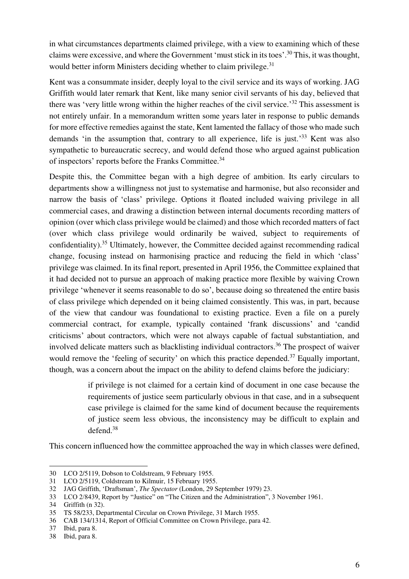in what circumstances departments claimed privilege, with a view to examining which of these claims were excessive, and where the Government 'must stick in its toes'. <sup>30</sup> This, it was thought, would better inform Ministers deciding whether to claim privilege.<sup>31</sup>

Kent was a consummate insider, deeply loyal to the civil service and its ways of working. JAG Griffith would later remark that Kent, like many senior civil servants of his day, believed that there was 'very little wrong within the higher reaches of the civil service.' <sup>32</sup> This assessment is not entirely unfair. In a memorandum written some years later in response to public demands for more effective remedies against the state, Kent lamented the fallacy of those who made such demands 'in the assumption that, contrary to all experience, life is just.<sup>33</sup> Kent was also sympathetic to bureaucratic secrecy, and would defend those who argued against publication of inspectors' reports before the Franks Committee.<sup>34</sup>

Despite this, the Committee began with a high degree of ambition. Its early circulars to departments show a willingness not just to systematise and harmonise, but also reconsider and narrow the basis of 'class' privilege. Options it floated included waiving privilege in all commercial cases, and drawing a distinction between internal documents recording matters of opinion (over which class privilege would be claimed) and those which recorded matters of fact (over which class privilege would ordinarily be waived, subject to requirements of confidentiality).<sup>35</sup> Ultimately, however, the Committee decided against recommending radical change, focusing instead on harmonising practice and reducing the field in which 'class' privilege was claimed. In its final report, presented in April 1956, the Committee explained that it had decided not to pursue an approach of making practice more flexible by waiving Crown privilege 'whenever it seems reasonable to do so', because doing so threatened the entire basis of class privilege which depended on it being claimed consistently. This was, in part, because of the view that candour was foundational to existing practice. Even a file on a purely commercial contract, for example, typically contained 'frank discussions' and 'candid criticisms' about contractors, which were not always capable of factual substantiation, and involved delicate matters such as blacklisting individual contractors.<sup>36</sup> The prospect of waiver would remove the 'feeling of security' on which this practice depended.<sup>37</sup> Equally important, though, was a concern about the impact on the ability to defend claims before the judiciary:

> if privilege is not claimed for a certain kind of document in one case because the requirements of justice seem particularly obvious in that case, and in a subsequent case privilege is claimed for the same kind of document because the requirements of justice seem less obvious, the inconsistency may be difficult to explain and defend. $38$

This concern influenced how the committee approached the way in which classes were defined,

<sup>30</sup> LCO 2/5119, Dobson to Coldstream, 9 February 1955.

<sup>31</sup> LCO 2/5119, Coldstream to Kilmuir, 15 February 1955.

<sup>32</sup> JAG Griffith, 'Draftsman', *The Spectator* (London, 29 September 1979) 23.

<sup>33</sup> LCO 2/8439, Report by "Justice" on "The Citizen and the Administration", 3 November 1961.

<sup>34</sup> Griffith (n 32).

<sup>35</sup> TS 58/233, Departmental Circular on Crown Privilege, 31 March 1955.

<sup>36</sup> CAB 134/1314, Report of Official Committee on Crown Privilege, para 42.

<sup>37</sup> Ibid, para 8.

<sup>38</sup> Ibid, para 8.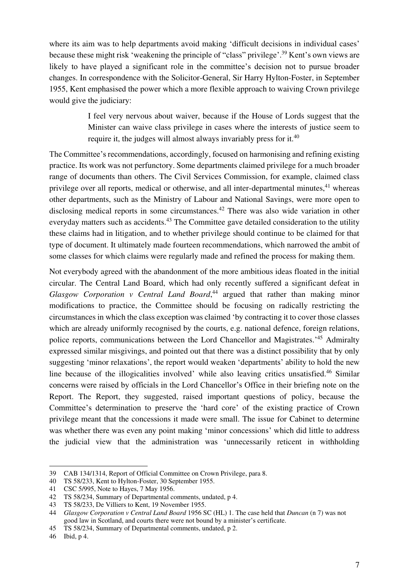where its aim was to help departments avoid making 'difficult decisions in individual cases' because these might risk 'weakening the principle of "class" privilege'. <sup>39</sup> Kent's own views are likely to have played a significant role in the committee's decision not to pursue broader changes. In correspondence with the Solicitor-General, Sir Harry Hylton-Foster, in September 1955, Kent emphasised the power which a more flexible approach to waiving Crown privilege would give the judiciary:

> I feel very nervous about waiver, because if the House of Lords suggest that the Minister can waive class privilege in cases where the interests of justice seem to require it, the judges will almost always invariably press for it. $40$

The Committee's recommendations, accordingly, focused on harmonising and refining existing practice. Its work was not perfunctory. Some departments claimed privilege for a much broader range of documents than others. The Civil Services Commission, for example, claimed class privilege over all reports, medical or otherwise, and all inter-departmental minutes,<sup>41</sup> whereas other departments, such as the Ministry of Labour and National Savings, were more open to disclosing medical reports in some circumstances.<sup>42</sup> There was also wide variation in other everyday matters such as accidents.<sup>43</sup> The Committee gave detailed consideration to the utility these claims had in litigation, and to whether privilege should continue to be claimed for that type of document. It ultimately made fourteen recommendations, which narrowed the ambit of some classes for which claims were regularly made and refined the process for making them.

Not everybody agreed with the abandonment of the more ambitious ideas floated in the initial circular. The Central Land Board, which had only recently suffered a significant defeat in *Glasgow Corporation v Central Land Board*, <sup>44</sup> argued that rather than making minor modifications to practice, the Committee should be focusing on radically restricting the circumstances in which the class exception was claimed 'by contracting it to cover those classes which are already uniformly recognised by the courts, e.g. national defence, foreign relations, police reports, communications between the Lord Chancellor and Magistrates.<sup>145</sup> Admiralty expressed similar misgivings, and pointed out that there was a distinct possibility that by only suggesting 'minor relaxations', the report would weaken 'departments' ability to hold the new line because of the illogicalities involved' while also leaving critics unsatisfied.<sup>46</sup> Similar concerns were raised by officials in the Lord Chancellor's Office in their briefing note on the Report. The Report, they suggested, raised important questions of policy, because the Committee's determination to preserve the 'hard core' of the existing practice of Crown privilege meant that the concessions it made were small. The issue for Cabinet to determine was whether there was even any point making 'minor concessions' which did little to address the judicial view that the administration was 'unnecessarily reticent in withholding

<sup>39</sup> CAB 134/1314, Report of Official Committee on Crown Privilege, para 8.

<sup>40</sup> TS 58/233, Kent to Hylton-Foster, 30 September 1955.

<sup>41</sup> CSC 5/995, Note to Hayes, 7 May 1956.

<sup>42</sup> TS 58/234, Summary of Departmental comments, undated, p 4.

<sup>43</sup> TS 58/233, De Villiers to Kent, 19 November 1955.

<sup>44</sup> *Glasgow Corporation v Central Land Board* 1956 SC (HL) 1. The case held that *Duncan* (n 7) was not good law in Scotland, and courts there were not bound by a minister's certificate.

<sup>45</sup> TS 58/234, Summary of Departmental comments, undated, p 2.

<sup>46</sup> Ibid, p 4.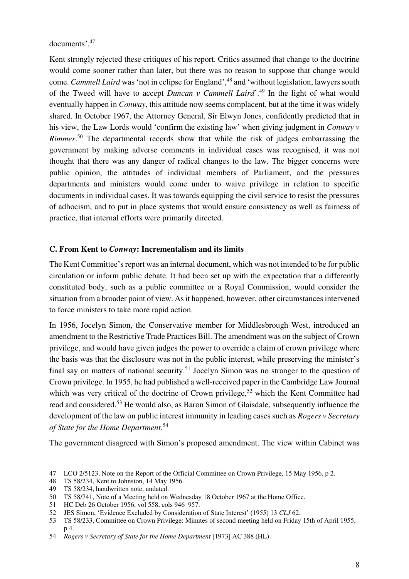documents'. 47

Kent strongly rejected these critiques of his report. Critics assumed that change to the doctrine would come sooner rather than later, but there was no reason to suppose that change would come. *Cammell Laird* was 'not in eclipse for England',<sup>48</sup> and 'without legislation, lawyers south of the Tweed will have to accept *Duncan v Cammell Laird*'. <sup>49</sup> In the light of what would eventually happen in *Conway*, this attitude now seems complacent, but at the time it was widely shared. In October 1967, the Attorney General, Sir Elwyn Jones, confidently predicted that in his view, the Law Lords would 'confirm the existing law' when giving judgment in *Conway v Rimmer*.<sup>50</sup> The departmental records show that while the risk of judges embarrassing the government by making adverse comments in individual cases was recognised, it was not thought that there was any danger of radical changes to the law. The bigger concerns were public opinion, the attitudes of individual members of Parliament, and the pressures departments and ministers would come under to waive privilege in relation to specific documents in individual cases. It was towards equipping the civil service to resist the pressures of adhocism, and to put in place systems that would ensure consistency as well as fairness of practice, that internal efforts were primarily directed.

## **C. From Kent to** *Conway***: Incrementalism and its limits**

The Kent Committee's report was an internal document, which was not intended to be for public circulation or inform public debate. It had been set up with the expectation that a differently constituted body, such as a public committee or a Royal Commission, would consider the situation from a broader point of view. As it happened, however, other circumstances intervened to force ministers to take more rapid action.

In 1956, Jocelyn Simon, the Conservative member for Middlesbrough West, introduced an amendment to the Restrictive Trade Practices Bill. The amendment was on the subject of Crown privilege, and would have given judges the power to override a claim of crown privilege where the basis was that the disclosure was not in the public interest, while preserving the minister's final say on matters of national security.<sup>51</sup> Jocelyn Simon was no stranger to the question of Crown privilege. In 1955, he had published a well-received paper in the Cambridge Law Journal which was very critical of the doctrine of Crown privilege,<sup>52</sup> which the Kent Committee had read and considered.<sup>53</sup> He would also, as Baron Simon of Glaisdale, subsequently influence the development of the law on public interest immunity in leading cases such as *Rogers v Secretary of State for the Home Department*. 54

The government disagreed with Simon's proposed amendment. The view within Cabinet was

<sup>47</sup> LCO 2/5123, Note on the Report of the Official Committee on Crown Privilege, 15 May 1956, p 2.

<sup>48</sup> TS 58/234, Kent to Johnston, 14 May 1956.

<sup>49</sup> TS 58/234, handwritten note, undated.

<sup>50</sup> TS 58/741, Note of a Meeting held on Wednesday 18 October 1967 at the Home Office.

<sup>51</sup> HC Deb 26 October 1956, vol 558, cols 946–957.

<sup>52</sup> JES Simon, 'Evidence Excluded by Consideration of State Interest' (1955) 13 *CLJ* 62.

<sup>53</sup> TS 58/233, Committee on Crown Privilege: Minutes of second meeting held on Friday 15th of April 1955, p 4.

<sup>54</sup> *Rogers v Secretary of State for the Home Department* [1973] AC 388 (HL).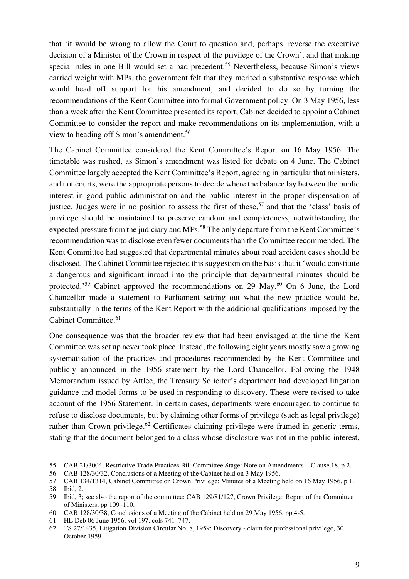that 'it would be wrong to allow the Court to question and, perhaps, reverse the executive decision of a Minister of the Crown in respect of the privilege of the Crown', and that making special rules in one Bill would set a bad precedent.<sup>55</sup> Nevertheless, because Simon's views carried weight with MPs, the government felt that they merited a substantive response which would head off support for his amendment, and decided to do so by turning the recommendations of the Kent Committee into formal Government policy. On 3 May 1956, less than a week after the Kent Committee presented its report, Cabinet decided to appoint a Cabinet Committee to consider the report and make recommendations on its implementation, with a view to heading off Simon's amendment.<sup>56</sup>

The Cabinet Committee considered the Kent Committee's Report on 16 May 1956. The timetable was rushed, as Simon's amendment was listed for debate on 4 June. The Cabinet Committee largely accepted the Kent Committee's Report, agreeing in particular that ministers, and not courts, were the appropriate persons to decide where the balance lay between the public interest in good public administration and the public interest in the proper dispensation of justice. Judges were in no position to assess the first of these,<sup>57</sup> and that the 'class' basis of privilege should be maintained to preserve candour and completeness, notwithstanding the expected pressure from the judiciary and MPs.<sup>58</sup> The only departure from the Kent Committee's recommendation was to disclose even fewer documents than the Committee recommended. The Kent Committee had suggested that departmental minutes about road accident cases should be disclosed. The Cabinet Committee rejected this suggestion on the basis that it 'would constitute a dangerous and significant inroad into the principle that departmental minutes should be protected.<sup>59</sup> Cabinet approved the recommendations on 29 May.<sup>60</sup> On 6 June, the Lord Chancellor made a statement to Parliament setting out what the new practice would be, substantially in the terms of the Kent Report with the additional qualifications imposed by the Cabinet Committee.<sup>61</sup>

One consequence was that the broader review that had been envisaged at the time the Kent Committee was set up never took place. Instead, the following eight years mostly saw a growing systematisation of the practices and procedures recommended by the Kent Committee and publicly announced in the 1956 statement by the Lord Chancellor. Following the 1948 Memorandum issued by Attlee, the Treasury Solicitor's department had developed litigation guidance and model forms to be used in responding to discovery. These were revised to take account of the 1956 Statement. In certain cases, departments were encouraged to continue to refuse to disclose documents, but by claiming other forms of privilege (such as legal privilege) rather than Crown privilege.<sup>62</sup> Certificates claiming privilege were framed in generic terms, stating that the document belonged to a class whose disclosure was not in the public interest,

<sup>55</sup> CAB 21/3004, Restrictive Trade Practices Bill Committee Stage: Note on Amendments—Clause 18, p 2.

<sup>56</sup> CAB 128/30/32, Conclusions of a Meeting of the Cabinet held on 3 May 1956.

<sup>57</sup> CAB 134/1314, Cabinet Committee on Crown Privilege: Minutes of a Meeting held on 16 May 1956, p 1. 58 Ibid, 2.

<sup>59</sup> Ibid, 3; see also the report of the committee: CAB 129/81/127, Crown Privilege: Report of the Committee of Ministers, pp 109–110.

<sup>60</sup> CAB 128/30/38, Conclusions of a Meeting of the Cabinet held on 29 May 1956, pp 4-5.

<sup>61</sup> HL Deb 06 June 1956, vol 197, cols 741–747.

<sup>62</sup> TS 27/1435, Litigation Division Circular No. 8, 1959: Discovery - claim for professional privilege, 30 October 1959.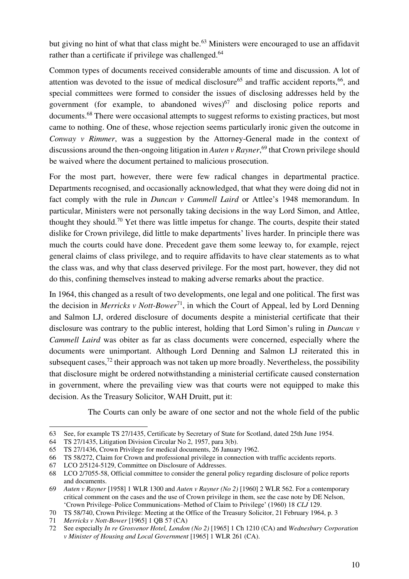but giving no hint of what that class might be.<sup>63</sup> Ministers were encouraged to use an affidavit rather than a certificate if privilege was challenged.<sup>64</sup>

Common types of documents received considerable amounts of time and discussion. A lot of attention was devoted to the issue of medical disclosure<sup>65</sup> and traffic accident reports,<sup>66</sup>, and special committees were formed to consider the issues of disclosing addresses held by the government (for example, to abandoned wives) $67$  and disclosing police reports and documents.<sup>68</sup> There were occasional attempts to suggest reforms to existing practices, but most came to nothing. One of these, whose rejection seems particularly ironic given the outcome in *Conway v Rimmer*, was a suggestion by the Attorney-General made in the context of discussions around the then-ongoing litigation in *Auten v Rayner*, <sup>69</sup> that Crown privilege should be waived where the document pertained to malicious prosecution.

For the most part, however, there were few radical changes in departmental practice. Departments recognised, and occasionally acknowledged, that what they were doing did not in fact comply with the rule in *Duncan v Cammell Laird* or Attlee's 1948 memorandum. In particular, Ministers were not personally taking decisions in the way Lord Simon, and Attlee, thought they should.<sup>70</sup> Yet there was little impetus for change. The courts, despite their stated dislike for Crown privilege, did little to make departments' lives harder. In principle there was much the courts could have done. Precedent gave them some leeway to, for example, reject general claims of class privilege, and to require affidavits to have clear statements as to what the class was, and why that class deserved privilege. For the most part, however, they did not do this, confining themselves instead to making adverse remarks about the practice.

In 1964, this changed as a result of two developments, one legal and one political. The first was the decision in *Merricks v Nott-Bower*<sup>71</sup>, in which the Court of Appeal, led by Lord Denning and Salmon LJ, ordered disclosure of documents despite a ministerial certificate that their disclosure was contrary to the public interest, holding that Lord Simon's ruling in *Duncan v Cammell Laird* was obiter as far as class documents were concerned, especially where the documents were unimportant. Although Lord Denning and Salmon LJ reiterated this in subsequent cases, $^{72}$  their approach was not taken up more broadly. Nevertheless, the possibility that disclosure might be ordered notwithstanding a ministerial certificate caused consternation in government, where the prevailing view was that courts were not equipped to make this decision. As the Treasury Solicitor, WAH Druitt, put it:

The Courts can only be aware of one sector and not the whole field of the public

<sup>63</sup> See, for example TS 27/1435, Certificate by Secretary of State for Scotland, dated 25th June 1954.

<sup>64</sup> TS 27/1435, Litigation Division Circular No 2, 1957, para 3(b).

<sup>65</sup> TS 27/1436, Crown Privilege for medical documents, 26 January 1962.

<sup>66</sup> TS 58/272, Claim for Crown and professional privilege in connection with traffic accidents reports.

<sup>67</sup> LCO 2/5124-5129, Committee on Disclosure of Addresses.

<sup>68</sup> LCO 2/7055-58, Official committee to consider the general policy regarding disclosure of police reports and documents.

<sup>69</sup> *Auten v Rayner* [1958] 1 WLR 1300 and *Auten v Rayner (No 2)* [1960] 2 WLR 562. For a contemporary critical comment on the cases and the use of Crown privilege in them, see the case note by DE Nelson, 'Crown Privilege–Police Communications–Method of Claim to Privilege' (1960) 18 *CLJ* 129.

<sup>70</sup> TS 58/740, Crown Privilege: Meeting at the Office of the Treasury Solicitor, 21 February 1964, p. 3

<sup>71</sup> *Merricks v Nott-Bower* [1965] 1 QB 57 (CA)

<sup>72</sup> See especially *In re Grosvenor Hotel, London (No 2)* [1965] 1 Ch 1210 (CA) and *Wednesbury Corporation v Minister of Housing and Local Government* [1965] 1 WLR 261 (CA).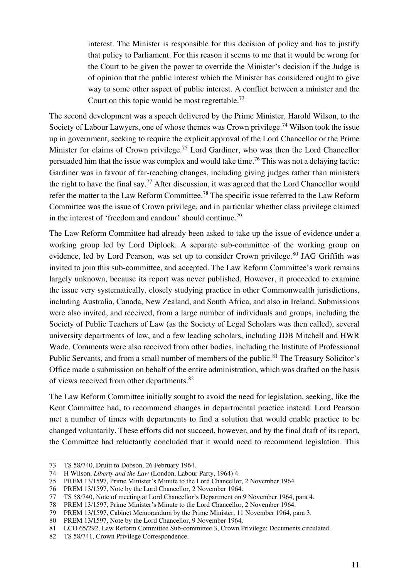interest. The Minister is responsible for this decision of policy and has to justify that policy to Parliament. For this reason it seems to me that it would be wrong for the Court to be given the power to override the Minister's decision if the Judge is of opinion that the public interest which the Minister has considered ought to give way to some other aspect of public interest. A conflict between a minister and the Court on this topic would be most regrettable.<sup>73</sup>

The second development was a speech delivered by the Prime Minister, Harold Wilson, to the Society of Labour Lawyers, one of whose themes was Crown privilege.<sup>74</sup> Wilson took the issue up in government, seeking to require the explicit approval of the Lord Chancellor or the Prime Minister for claims of Crown privilege.<sup>75</sup> Lord Gardiner, who was then the Lord Chancellor persuaded him that the issue was complex and would take time.<sup>76</sup> This was not a delaying tactic: Gardiner was in favour of far-reaching changes, including giving judges rather than ministers the right to have the final say.<sup>77</sup> After discussion, it was agreed that the Lord Chancellor would refer the matter to the Law Reform Committee.<sup>78</sup> The specific issue referred to the Law Reform Committee was the issue of Crown privilege, and in particular whether class privilege claimed in the interest of 'freedom and candour' should continue.<sup>79</sup>

The Law Reform Committee had already been asked to take up the issue of evidence under a working group led by Lord Diplock. A separate sub-committee of the working group on evidence, led by Lord Pearson, was set up to consider Crown privilege.<sup>80</sup> JAG Griffith was invited to join this sub-committee, and accepted. The Law Reform Committee's work remains largely unknown, because its report was never published. However, it proceeded to examine the issue very systematically, closely studying practice in other Commonwealth jurisdictions, including Australia, Canada, New Zealand, and South Africa, and also in Ireland. Submissions were also invited, and received, from a large number of individuals and groups, including the Society of Public Teachers of Law (as the Society of Legal Scholars was then called), several university departments of law, and a few leading scholars, including JDB Mitchell and HWR Wade. Comments were also received from other bodies, including the Institute of Professional Public Servants, and from a small number of members of the public.<sup>81</sup> The Treasury Solicitor's Office made a submission on behalf of the entire administration, which was drafted on the basis of views received from other departments.<sup>82</sup>

The Law Reform Committee initially sought to avoid the need for legislation, seeking, like the Kent Committee had, to recommend changes in departmental practice instead. Lord Pearson met a number of times with departments to find a solution that would enable practice to be changed voluntarily. These efforts did not succeed, however, and by the final draft of its report, the Committee had reluctantly concluded that it would need to recommend legislation. This

<sup>73</sup> TS 58/740, Druitt to Dobson, 26 February 1964.

<sup>74</sup> H Wilson, *Liberty and the Law* (London, Labour Party, 1964) 4.

<sup>75</sup> PREM 13/1597, Prime Minister's Minute to the Lord Chancellor, 2 November 1964.

<sup>76</sup> PREM 13/1597, Note by the Lord Chancellor, 2 November 1964.

<sup>77</sup> TS 58/740, Note of meeting at Lord Chancellor's Department on 9 November 1964, para 4.

<sup>78</sup> PREM 13/1597, Prime Minister's Minute to the Lord Chancellor, 2 November 1964.

<sup>79</sup> PREM 13/1597, Cabinet Memorandum by the Prime Minister, 11 November 1964, para 3.

<sup>80</sup> PREM 13/1597, Note by the Lord Chancellor, 9 November 1964.

<sup>81</sup> LCO 65/292, Law Reform Committee Sub-committee 3, Crown Privilege: Documents circulated.

<sup>82</sup> TS 58/741, Crown Privilege Correspondence.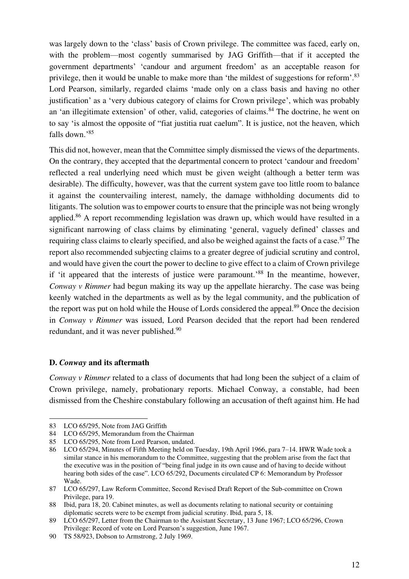was largely down to the 'class' basis of Crown privilege. The committee was faced, early on, with the problem—most cogently summarised by JAG Griffith—that if it accepted the government departments' 'candour and argument freedom' as an acceptable reason for privilege, then it would be unable to make more than 'the mildest of suggestions for reform'.<sup>83</sup> Lord Pearson, similarly, regarded claims 'made only on a class basis and having no other justification' as a 'very dubious category of claims for Crown privilege', which was probably an 'an illegitimate extension' of other, valid, categories of claims.<sup>84</sup> The doctrine, he went on to say 'is almost the opposite of "fiat justitia ruat caelum". It is justice, not the heaven, which falls down.' 85

This did not, however, mean that the Committee simply dismissed the views of the departments. On the contrary, they accepted that the departmental concern to protect 'candour and freedom' reflected a real underlying need which must be given weight (although a better term was desirable). The difficulty, however, was that the current system gave too little room to balance it against the countervailing interest, namely, the damage withholding documents did to litigants. The solution was to empower courts to ensure that the principle was not being wrongly applied.<sup>86</sup> A report recommending legislation was drawn up, which would have resulted in a significant narrowing of class claims by eliminating 'general, vaguely defined' classes and requiring class claims to clearly specified, and also be weighed against the facts of a case.<sup>87</sup> The report also recommended subjecting claims to a greater degree of judicial scrutiny and control, and would have given the court the power to decline to give effect to a claim of Crown privilege if 'it appeared that the interests of justice were paramount.<sup>88</sup> In the meantime, however, *Conway v Rimmer* had begun making its way up the appellate hierarchy. The case was being keenly watched in the departments as well as by the legal community, and the publication of the report was put on hold while the House of Lords considered the appeal.<sup>89</sup> Once the decision in *Conway v Rimmer* was issued, Lord Pearson decided that the report had been rendered redundant, and it was never published.<sup>90</sup>

#### **D.** *Conway* **and its aftermath**

 $\overline{a}$ 

*Conway v Rimmer* related to a class of documents that had long been the subject of a claim of Crown privilege, namely, probationary reports. Michael Conway, a constable, had been dismissed from the Cheshire constabulary following an accusation of theft against him. He had

<sup>83</sup> LCO 65/295, Note from JAG Griffith

<sup>84</sup> LCO 65/295, Memorandum from the Chairman

<sup>85</sup> LCO 65/295, Note from Lord Pearson, undated.

<sup>86</sup> LCO 65/294, Minutes of Fifth Meeting held on Tuesday, 19th April 1966, para 7–14. HWR Wade took a similar stance in his memorandum to the Committee, suggesting that the problem arise from the fact that the executive was in the position of "being final judge in its own cause and of having to decide without hearing both sides of the case". LCO 65/292, Documents circulated CP 6: Memorandum by Professor Wade.

<sup>87</sup> LCO 65/297, Law Reform Committee, Second Revised Draft Report of the Sub-committee on Crown Privilege, para 19.

<sup>88</sup> Ibid, para 18, 20. Cabinet minutes, as well as documents relating to national security or containing diplomatic secrets were to be exempt from judicial scrutiny. Ibid, para 5, 18.

<sup>89</sup> LCO 65/297, Letter from the Chairman to the Assistant Secretary, 13 June 1967; LCO 65/296, Crown Privilege: Record of vote on Lord Pearson's suggestion, June 1967.

<sup>90</sup> TS 58/923, Dobson to Armstrong, 2 July 1969.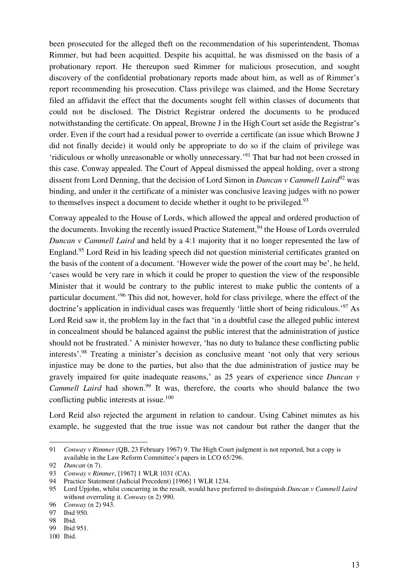been prosecuted for the alleged theft on the recommendation of his superintendent, Thomas Rimmer, but had been acquitted. Despite his acquittal, he was dismissed on the basis of a probationary report. He thereupon sued Rimmer for malicious prosecution, and sought discovery of the confidential probationary reports made about him, as well as of Rimmer's report recommending his prosecution. Class privilege was claimed, and the Home Secretary filed an affidavit the effect that the documents sought fell within classes of documents that could not be disclosed. The District Registrar ordered the documents to be produced notwithstanding the certificate. On appeal, Browne J in the High Court set aside the Registrar's order. Even if the court had a residual power to override a certificate (an issue which Browne J did not finally decide) it would only be appropriate to do so if the claim of privilege was 'ridiculous or wholly unreasonable or wholly unnecessary.' <sup>91</sup> That bar had not been crossed in this case. Conway appealed. The Court of Appeal dismissed the appeal holding, over a strong dissent from Lord Denning, that the decision of Lord Simon in *Duncan v Cammell Laird*<sup>92</sup> was binding, and under it the certificate of a minister was conclusive leaving judges with no power to themselves inspect a document to decide whether it ought to be privileged.<sup>93</sup>

Conway appealed to the House of Lords, which allowed the appeal and ordered production of the documents. Invoking the recently issued Practice Statement,<sup>94</sup> the House of Lords overruled *Duncan v Cammell Laird* and held by a 4:1 majority that it no longer represented the law of England.<sup>95</sup> Lord Reid in his leading speech did not question ministerial certificates granted on the basis of the content of a document. 'However wide the power of the court may be', he held, 'cases would be very rare in which it could be proper to question the view of the responsible Minister that it would be contrary to the public interest to make public the contents of a particular document.<sup>'96</sup> This did not, however, hold for class privilege, where the effect of the doctrine's application in individual cases was frequently 'little short of being ridiculous.' <sup>97</sup> As Lord Reid saw it, the problem lay in the fact that 'in a doubtful case the alleged public interest in concealment should be balanced against the public interest that the administration of justice should not be frustrated.' A minister however, 'has no duty to balance these conflicting public interests'.<sup>98</sup> Treating a minister's decision as conclusive meant 'not only that very serious injustice may be done to the parties, but also that the due administration of justice may be gravely impaired for quite inadequate reasons,' as 25 years of experience since *Duncan v Cammell Laird* had shown.<sup>99</sup> It was, therefore, the courts who should balance the two conflicting public interests at issue.<sup>100</sup>

Lord Reid also rejected the argument in relation to candour. Using Cabinet minutes as his example, he suggested that the true issue was not candour but rather the danger that the

<sup>91</sup> *Conway v Rimmer* (QB, 23 February 1967) 9. The High Court judgment is not reported, but a copy is available in the Law Reform Committee's papers in LCO 65/296.

<sup>92</sup> *Duncan* (n 7).

<sup>93</sup> *Conway v Rimmer*, [1967] 1 WLR 1031 (CA).

<sup>94</sup> Practice Statement (Judicial Precedent) [1966] 1 WLR 1234.

<sup>95</sup> Lord Upjohn, whilst concurring in the result, would have preferred to distinguish *Duncan v Cammell Laird* without overruling it. *Conway* (n 2) 990.

<sup>96</sup> *Conway* (n 2) 943.

<sup>97</sup> Ibid 950.

<sup>98</sup> Ibid.

<sup>99</sup> Ibid 951.

<sup>100</sup> Ibid.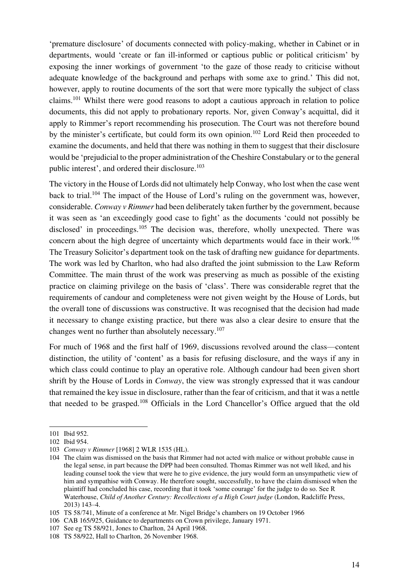'premature disclosure' of documents connected with policy-making, whether in Cabinet or in departments, would 'create or fan ill-informed or captious public or political criticism' by exposing the inner workings of government 'to the gaze of those ready to criticise without adequate knowledge of the background and perhaps with some axe to grind.' This did not, however, apply to routine documents of the sort that were more typically the subject of class claims.<sup>101</sup> Whilst there were good reasons to adopt a cautious approach in relation to police documents, this did not apply to probationary reports. Nor, given Conway's acquittal, did it apply to Rimmer's report recommending his prosecution. The Court was not therefore bound by the minister's certificate, but could form its own opinion.<sup>102</sup> Lord Reid then proceeded to examine the documents, and held that there was nothing in them to suggest that their disclosure would be 'prejudicial to the proper administration of the Cheshire Constabulary or to the general public interest', and ordered their disclosure.<sup>103</sup>

The victory in the House of Lords did not ultimately help Conway, who lost when the case went back to trial.<sup>104</sup> The impact of the House of Lord's ruling on the government was, however, considerable. *Conway v Rimmer* had been deliberately taken further by the government, because it was seen as 'an exceedingly good case to fight' as the documents 'could not possibly be disclosed' in proceedings.<sup>105</sup> The decision was, therefore, wholly unexpected. There was concern about the high degree of uncertainty which departments would face in their work.<sup>106</sup> The Treasury Solicitor's department took on the task of drafting new guidance for departments. The work was led by Charlton, who had also drafted the joint submission to the Law Reform Committee. The main thrust of the work was preserving as much as possible of the existing practice on claiming privilege on the basis of 'class'. There was considerable regret that the requirements of candour and completeness were not given weight by the House of Lords, but the overall tone of discussions was constructive. It was recognised that the decision had made it necessary to change existing practice, but there was also a clear desire to ensure that the changes went no further than absolutely necessary.<sup>107</sup>

For much of 1968 and the first half of 1969, discussions revolved around the class—content distinction, the utility of 'content' as a basis for refusing disclosure, and the ways if any in which class could continue to play an operative role. Although candour had been given short shrift by the House of Lords in *Conway*, the view was strongly expressed that it was candour that remained the key issue in disclosure, rather than the fear of criticism, and that it was a nettle that needed to be grasped.<sup>108</sup> Officials in the Lord Chancellor's Office argued that the old

<sup>101</sup> Ibid 952.

<sup>102</sup> Ibid 954.

<sup>103</sup> *Conway v Rimmer* [1968] 2 WLR 1535 (HL).

<sup>104</sup> The claim was dismissed on the basis that Rimmer had not acted with malice or without probable cause in the legal sense, in part because the DPP had been consulted. Thomas Rimmer was not well liked, and his leading counsel took the view that were he to give evidence, the jury would form an unsympathetic view of him and sympathise with Conway. He therefore sought, successfully, to have the claim dismissed when the plaintiff had concluded his case, recording that it took 'some courage' for the judge to do so. See R Waterhouse, *Child of Another Century: Recollections of a High Court judge* (London, Radcliffe Press, 2013) 143–4.

<sup>105</sup> TS 58/741, Minute of a conference at Mr. Nigel Bridge's chambers on 19 October 1966

<sup>106</sup> CAB 165/925, Guidance to departments on Crown privilege, January 1971.

<sup>107</sup> See eg TS 58/921, Jones to Charlton, 24 April 1968.

<sup>108</sup> TS 58/922, Hall to Charlton, 26 November 1968.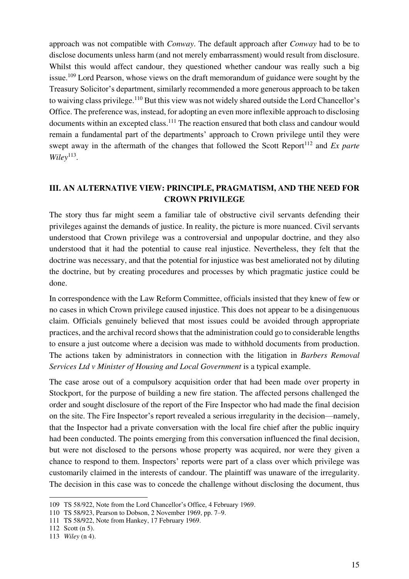approach was not compatible with *Conway*. The default approach after *Conway* had to be to disclose documents unless harm (and not merely embarrassment) would result from disclosure. Whilst this would affect candour, they questioned whether candour was really such a big issue.<sup>109</sup> Lord Pearson, whose views on the draft memorandum of guidance were sought by the Treasury Solicitor's department, similarly recommended a more generous approach to be taken to waiving class privilege.<sup>110</sup> But this view was not widely shared outside the Lord Chancellor's Office. The preference was, instead, for adopting an even more inflexible approach to disclosing documents within an excepted class.<sup>111</sup> The reaction ensured that both class and candour would remain a fundamental part of the departments' approach to Crown privilege until they were swept away in the aftermath of the changes that followed the Scott Report<sup>112</sup> and *Ex parte*  $Wiley$ <sup>113</sup>.

# **III. AN ALTERNATIVE VIEW: PRINCIPLE, PRAGMATISM, AND THE NEED FOR CROWN PRIVILEGE**

The story thus far might seem a familiar tale of obstructive civil servants defending their privileges against the demands of justice. In reality, the picture is more nuanced. Civil servants understood that Crown privilege was a controversial and unpopular doctrine, and they also understood that it had the potential to cause real injustice. Nevertheless, they felt that the doctrine was necessary, and that the potential for injustice was best ameliorated not by diluting the doctrine, but by creating procedures and processes by which pragmatic justice could be done.

In correspondence with the Law Reform Committee, officials insisted that they knew of few or no cases in which Crown privilege caused injustice. This does not appear to be a disingenuous claim. Officials genuinely believed that most issues could be avoided through appropriate practices, and the archival record shows that the administration could go to considerable lengths to ensure a just outcome where a decision was made to withhold documents from production. The actions taken by administrators in connection with the litigation in *Barbers Removal Services Ltd v Minister of Housing and Local Government* is a typical example.

The case arose out of a compulsory acquisition order that had been made over property in Stockport, for the purpose of building a new fire station. The affected persons challenged the order and sought disclosure of the report of the Fire Inspector who had made the final decision on the site. The Fire Inspector's report revealed a serious irregularity in the decision—namely, that the Inspector had a private conversation with the local fire chief after the public inquiry had been conducted. The points emerging from this conversation influenced the final decision, but were not disclosed to the persons whose property was acquired, nor were they given a chance to respond to them. Inspectors' reports were part of a class over which privilege was customarily claimed in the interests of candour. The plaintiff was unaware of the irregularity. The decision in this case was to concede the challenge without disclosing the document, thus

<sup>109</sup> TS 58/922, Note from the Lord Chancellor's Office, 4 February 1969.

<sup>110</sup> TS 58/923, Pearson to Dobson, 2 November 1969, pp. 7–9.

<sup>111</sup> TS 58/922, Note from Hankey, 17 February 1969.

<sup>112</sup> Scott (n 5).

<sup>113</sup> *Wiley* (n 4).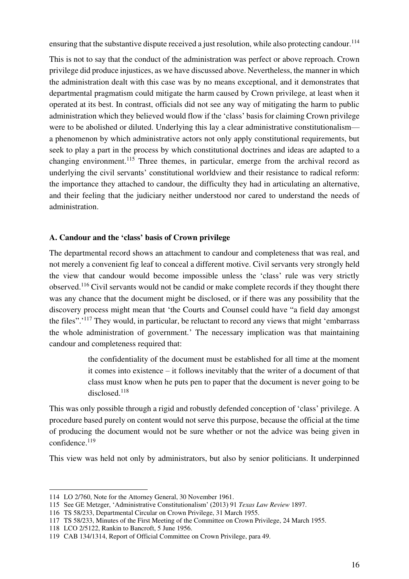ensuring that the substantive dispute received a just resolution, while also protecting candour.<sup>114</sup>

This is not to say that the conduct of the administration was perfect or above reproach. Crown privilege did produce injustices, as we have discussed above. Nevertheless, the manner in which the administration dealt with this case was by no means exceptional, and it demonstrates that departmental pragmatism could mitigate the harm caused by Crown privilege, at least when it operated at its best. In contrast, officials did not see any way of mitigating the harm to public administration which they believed would flow if the 'class' basis for claiming Crown privilege were to be abolished or diluted. Underlying this lay a clear administrative constitutionalism a phenomenon by which administrative actors not only apply constitutional requirements, but seek to play a part in the process by which constitutional doctrines and ideas are adapted to a changing environment.<sup>115</sup> Three themes, in particular, emerge from the archival record as underlying the civil servants' constitutional worldview and their resistance to radical reform: the importance they attached to candour, the difficulty they had in articulating an alternative, and their feeling that the judiciary neither understood nor cared to understand the needs of administration.

# **A. Candour and the 'class' basis of Crown privilege**

The departmental record shows an attachment to candour and completeness that was real, and not merely a convenient fig leaf to conceal a different motive. Civil servants very strongly held the view that candour would become impossible unless the 'class' rule was very strictly observed.<sup>116</sup> Civil servants would not be candid or make complete records if they thought there was any chance that the document might be disclosed, or if there was any possibility that the discovery process might mean that 'the Courts and Counsel could have "a field day amongst the files".<sup>'117</sup> They would, in particular, be reluctant to record any views that might 'embarrass' the whole administration of government.' The necessary implication was that maintaining candour and completeness required that:

> the confidentiality of the document must be established for all time at the moment it comes into existence – it follows inevitably that the writer of a document of that class must know when he puts pen to paper that the document is never going to be disclosed.<sup>118</sup>

This was only possible through a rigid and robustly defended conception of 'class' privilege. A procedure based purely on content would not serve this purpose, because the official at the time of producing the document would not be sure whether or not the advice was being given in confidence.<sup>119</sup>

This view was held not only by administrators, but also by senior politicians. It underpinned

<sup>114</sup> LO 2/760, Note for the Attorney General, 30 November 1961.

<sup>115</sup> See GE Metzger, 'Administrative Constitutionalism' (2013) 91 *Texas Law Review* 1897.

<sup>116</sup> TS 58/233, Departmental Circular on Crown Privilege, 31 March 1955.

<sup>117</sup> TS 58/233, Minutes of the First Meeting of the Committee on Crown Privilege, 24 March 1955.

<sup>118</sup> LCO 2/5122, Rankin to Bancroft, 5 June 1956.

<sup>119</sup> CAB 134/1314, Report of Official Committee on Crown Privilege, para 49.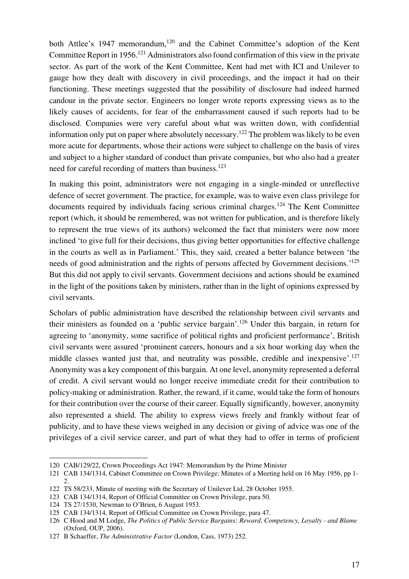both Attlee's 1947 memorandum,<sup>120</sup> and the Cabinet Committee's adoption of the Kent Committee Report in 1956.<sup>121</sup> Administrators also found confirmation of this view in the private sector. As part of the work of the Kent Committee, Kent had met with ICI and Unilever to gauge how they dealt with discovery in civil proceedings, and the impact it had on their functioning. These meetings suggested that the possibility of disclosure had indeed harmed candour in the private sector. Engineers no longer wrote reports expressing views as to the likely causes of accidents, for fear of the embarrassment caused if such reports had to be disclosed. Companies were very careful about what was written down, with confidential information only put on paper where absolutely necessary.<sup>122</sup> The problem was likely to be even more acute for departments, whose their actions were subject to challenge on the basis of vires and subject to a higher standard of conduct than private companies, but who also had a greater need for careful recording of matters than business.<sup>123</sup>

In making this point, administrators were not engaging in a single-minded or unreflective defence of secret government. The practice, for example, was to waive even class privilege for documents required by individuals facing serious criminal charges.<sup>124</sup> The Kent Committee report (which, it should be remembered, was not written for publication, and is therefore likely to represent the true views of its authors) welcomed the fact that ministers were now more inclined 'to give full for their decisions, thus giving better opportunities for effective challenge in the courts as well as in Parliament.' This, they said, created a better balance between 'the needs of good administration and the rights of persons affected by Government decisions.<sup>'125</sup> But this did not apply to civil servants. Government decisions and actions should be examined in the light of the positions taken by ministers, rather than in the light of opinions expressed by civil servants.

Scholars of public administration have described the relationship between civil servants and their ministers as founded on a 'public service bargain'.<sup>126</sup> Under this bargain, in return for agreeing to 'anonymity, some sacrifice of political rights and proficient performance', British civil servants were assured 'prominent careers, honours and a six hour working day when the middle classes wanted just that, and neutrality was possible, credible and inexpensive'.<sup>127</sup> Anonymity was a key component of this bargain. At one level, anonymity represented a deferral of credit. A civil servant would no longer receive immediate credit for their contribution to policy-making or administration. Rather, the reward, if it came, would take the form of honours for their contribution over the course of their career. Equally significantly, however, anonymity also represented a shield. The ability to express views freely and frankly without fear of publicity, and to have these views weighed in any decision or giving of advice was one of the privileges of a civil service career, and part of what they had to offer in terms of proficient

<sup>120</sup> CAB/129/22, Crown Proceedings Act 1947: Memorandum by the Prime Minister

<sup>121</sup> CAB 134/1314, Cabinet Committee on Crown Privilege: Minutes of a Meeting held on 16 May 1956, pp 1- 2.

<sup>122</sup> TS 58/233, Minute of meeting with the Secretary of Unilever Ltd, 28 October 1955.

<sup>123</sup> CAB 134/1314, Report of Official Committee on Crown Privilege, para 50.

<sup>124</sup> TS 27/1530, Newman to O'Brien, 6 August 1953.

<sup>125</sup> CAB 134/1314, Report of Official Committee on Crown Privilege, para 47.

<sup>126</sup> C Hood and M Lodge, *The Politics of Public Service Bargains: Reward, Competency, Loyalty - and Blame* (Oxford, OUP, 2006).

<sup>127</sup> B Schaeffer, *The Administrative Factor* (London, Cass, 1973) 252.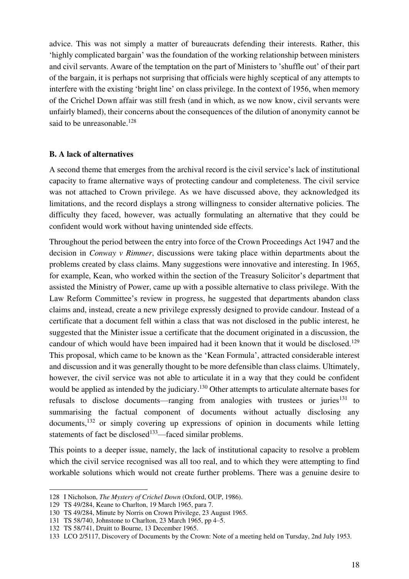advice. This was not simply a matter of bureaucrats defending their interests. Rather, this 'highly complicated bargain' was the foundation of the working relationship between ministers and civil servants. Aware of the temptation on the part of Ministers to 'shuffle out' of their part of the bargain, it is perhaps not surprising that officials were highly sceptical of any attempts to interfere with the existing 'bright line' on class privilege. In the context of 1956, when memory of the Crichel Down affair was still fresh (and in which, as we now know, civil servants were unfairly blamed), their concerns about the consequences of the dilution of anonymity cannot be said to be unreasonable.<sup>128</sup>

#### **B. A lack of alternatives**

A second theme that emerges from the archival record is the civil service's lack of institutional capacity to frame alternative ways of protecting candour and completeness. The civil service was not attached to Crown privilege. As we have discussed above, they acknowledged its limitations, and the record displays a strong willingness to consider alternative policies. The difficulty they faced, however, was actually formulating an alternative that they could be confident would work without having unintended side effects.

Throughout the period between the entry into force of the Crown Proceedings Act 1947 and the decision in *Conway v Rimmer*, discussions were taking place within departments about the problems created by class claims. Many suggestions were innovative and interesting. In 1965, for example, Kean, who worked within the section of the Treasury Solicitor's department that assisted the Ministry of Power, came up with a possible alternative to class privilege. With the Law Reform Committee's review in progress, he suggested that departments abandon class claims and, instead, create a new privilege expressly designed to provide candour. Instead of a certificate that a document fell within a class that was not disclosed in the public interest, he suggested that the Minister issue a certificate that the document originated in a discussion, the candour of which would have been impaired had it been known that it would be disclosed.<sup>129</sup> This proposal, which came to be known as the 'Kean Formula', attracted considerable interest and discussion and it was generally thought to be more defensible than class claims. Ultimately, however, the civil service was not able to articulate it in a way that they could be confident would be applied as intended by the judiciary.<sup>130</sup> Other attempts to articulate alternate bases for refusals to disclose documents—ranging from analogies with trustees or juries<sup>131</sup> to summarising the factual component of documents without actually disclosing any documents,<sup>132</sup> or simply covering up expressions of opinion in documents while letting statements of fact be disclosed<sup>133</sup>—faced similar problems.

This points to a deeper issue, namely, the lack of institutional capacity to resolve a problem which the civil service recognised was all too real, and to which they were attempting to find workable solutions which would not create further problems. There was a genuine desire to

<sup>128</sup> I Nicholson, *The Mystery of Crichel Down* (Oxford, OUP, 1986).

<sup>129</sup> TS 49/284, Keane to Charlton, 19 March 1965, para 7.

<sup>130</sup> TS 49/284, Minute by Norris on Crown Privilege, 23 August 1965.

<sup>131</sup> TS 58/740, Johnstone to Charlton, 23 March 1965, pp 4–5.

<sup>132</sup> TS 58/741, Druitt to Bourne, 13 December 1965.

<sup>133</sup> LCO 2/5117, Discovery of Documents by the Crown: Note of a meeting held on Tursday, 2nd July 1953.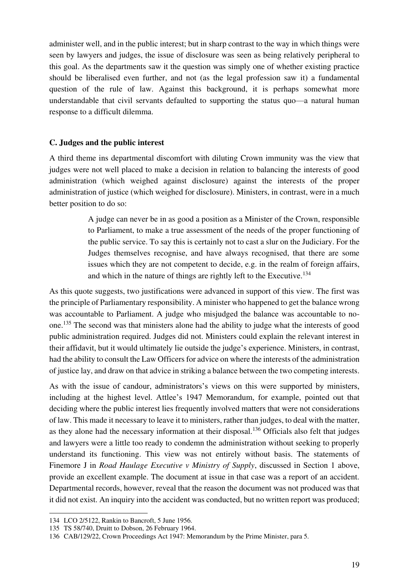administer well, and in the public interest; but in sharp contrast to the way in which things were seen by lawyers and judges, the issue of disclosure was seen as being relatively peripheral to this goal. As the departments saw it the question was simply one of whether existing practice should be liberalised even further, and not (as the legal profession saw it) a fundamental question of the rule of law. Against this background, it is perhaps somewhat more understandable that civil servants defaulted to supporting the status quo—a natural human response to a difficult dilemma.

#### **C. Judges and the public interest**

A third theme ins departmental discomfort with diluting Crown immunity was the view that judges were not well placed to make a decision in relation to balancing the interests of good administration (which weighed against disclosure) against the interests of the proper administration of justice (which weighed for disclosure). Ministers, in contrast, were in a much better position to do so:

> A judge can never be in as good a position as a Minister of the Crown, responsible to Parliament, to make a true assessment of the needs of the proper functioning of the public service. To say this is certainly not to cast a slur on the Judiciary. For the Judges themselves recognise, and have always recognised, that there are some issues which they are not competent to decide, e.g. in the realm of foreign affairs, and which in the nature of things are rightly left to the Executive.<sup>134</sup>

As this quote suggests, two justifications were advanced in support of this view. The first was the principle of Parliamentary responsibility. A minister who happened to get the balance wrong was accountable to Parliament. A judge who misjudged the balance was accountable to noone.<sup>135</sup> The second was that ministers alone had the ability to judge what the interests of good public administration required. Judges did not. Ministers could explain the relevant interest in their affidavit, but it would ultimately lie outside the judge's experience. Ministers, in contrast, had the ability to consult the Law Officers for advice on where the interests of the administration of justice lay, and draw on that advice in striking a balance between the two competing interests.

As with the issue of candour, administrators's views on this were supported by ministers, including at the highest level. Attlee's 1947 Memorandum, for example, pointed out that deciding where the public interest lies frequently involved matters that were not considerations of law. This made it necessary to leave it to ministers, rather than judges, to deal with the matter, as they alone had the necessary information at their disposal.<sup>136</sup> Officials also felt that judges and lawyers were a little too ready to condemn the administration without seeking to properly understand its functioning. This view was not entirely without basis. The statements of Finemore J in *Road Haulage Executive v Ministry of Supply*, discussed in Section 1 above, provide an excellent example. The document at issue in that case was a report of an accident. Departmental records, however, reveal that the reason the document was not produced was that it did not exist. An inquiry into the accident was conducted, but no written report was produced;

<sup>134</sup> LCO 2/5122, Rankin to Bancroft, 5 June 1956.

<sup>135</sup> TS 58/740, Druitt to Dobson, 26 February 1964.

<sup>136</sup> CAB/129/22, Crown Proceedings Act 1947: Memorandum by the Prime Minister, para 5.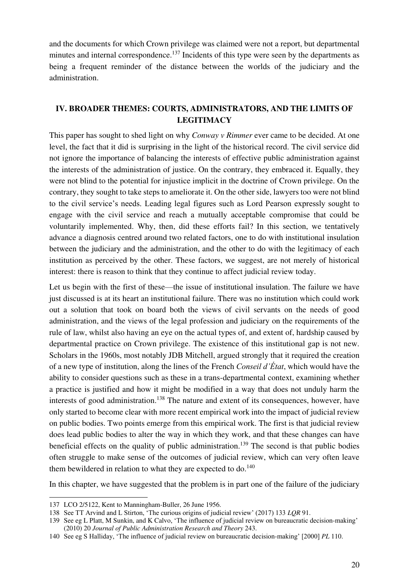and the documents for which Crown privilege was claimed were not a report, but departmental minutes and internal correspondence.<sup>137</sup> Incidents of this type were seen by the departments as being a frequent reminder of the distance between the worlds of the judiciary and the administration.

# **IV. BROADER THEMES: COURTS, ADMINISTRATORS, AND THE LIMITS OF LEGITIMACY**

This paper has sought to shed light on why *Conway v Rimmer* ever came to be decided. At one level, the fact that it did is surprising in the light of the historical record. The civil service did not ignore the importance of balancing the interests of effective public administration against the interests of the administration of justice. On the contrary, they embraced it. Equally, they were not blind to the potential for injustice implicit in the doctrine of Crown privilege. On the contrary, they sought to take steps to ameliorate it. On the other side, lawyers too were not blind to the civil service's needs. Leading legal figures such as Lord Pearson expressly sought to engage with the civil service and reach a mutually acceptable compromise that could be voluntarily implemented. Why, then, did these efforts fail? In this section, we tentatively advance a diagnosis centred around two related factors, one to do with institutional insulation between the judiciary and the administration, and the other to do with the legitimacy of each institution as perceived by the other. These factors, we suggest, are not merely of historical interest: there is reason to think that they continue to affect judicial review today.

Let us begin with the first of these—the issue of institutional insulation. The failure we have just discussed is at its heart an institutional failure. There was no institution which could work out a solution that took on board both the views of civil servants on the needs of good administration, and the views of the legal profession and judiciary on the requirements of the rule of law, whilst also having an eye on the actual types of, and extent of, hardship caused by departmental practice on Crown privilege. The existence of this institutional gap is not new. Scholars in the 1960s, most notably JDB Mitchell, argued strongly that it required the creation of a new type of institution, along the lines of the French *Conseil d'État*, which would have the ability to consider questions such as these in a trans-departmental context, examining whether a practice is justified and how it might be modified in a way that does not unduly harm the interests of good administration.<sup>138</sup> The nature and extent of its consequences, however, have only started to become clear with more recent empirical work into the impact of judicial review on public bodies. Two points emerge from this empirical work. The first is that judicial review does lead public bodies to alter the way in which they work, and that these changes can have beneficial effects on the quality of public administration.<sup>139</sup> The second is that public bodies often struggle to make sense of the outcomes of judicial review, which can very often leave them bewildered in relation to what they are expected to  $do.<sup>140</sup>$ 

In this chapter, we have suggested that the problem is in part one of the failure of the judiciary

<sup>137</sup> LCO 2/5122, Kent to Manningham-Buller, 26 June 1956.

<sup>138</sup> See TT Arvind and L Stirton, 'The curious origins of judicial review' (2017) 133 *LQR* 91.

<sup>139</sup> See eg L Platt, M Sunkin, and K Calvo, 'The influence of judicial review on bureaucratic decision-making' (2010) 20 *Journal of Public Administration Research and Theory* 243.

<sup>140</sup> See eg S Halliday, 'The influence of judicial review on bureaucratic decision-making' [2000] *PL* 110.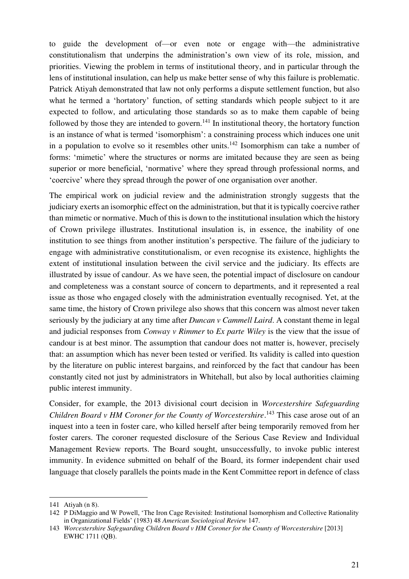to guide the development of—or even note or engage with—the administrative constitutionalism that underpins the administration's own view of its role, mission, and priorities. Viewing the problem in terms of institutional theory, and in particular through the lens of institutional insulation, can help us make better sense of why this failure is problematic. Patrick Atiyah demonstrated that law not only performs a dispute settlement function, but also what he termed a 'hortatory' function, of setting standards which people subject to it are expected to follow, and articulating those standards so as to make them capable of being followed by those they are intended to govern.<sup>141</sup> In institutional theory, the hortatory function is an instance of what is termed 'isomorphism': a constraining process which induces one unit in a population to evolve so it resembles other units.<sup>142</sup> Isomorphism can take a number of forms: 'mimetic' where the structures or norms are imitated because they are seen as being superior or more beneficial, 'normative' where they spread through professional norms, and 'coercive' where they spread through the power of one organisation over another.

The empirical work on judicial review and the administration strongly suggests that the judiciary exerts an isomorphic effect on the administration, but that it is typically coercive rather than mimetic or normative. Much of this is down to the institutional insulation which the history of Crown privilege illustrates. Institutional insulation is, in essence, the inability of one institution to see things from another institution's perspective. The failure of the judiciary to engage with administrative constitutionalism, or even recognise its existence, highlights the extent of institutional insulation between the civil service and the judiciary. Its effects are illustrated by issue of candour. As we have seen, the potential impact of disclosure on candour and completeness was a constant source of concern to departments, and it represented a real issue as those who engaged closely with the administration eventually recognised. Yet, at the same time, the history of Crown privilege also shows that this concern was almost never taken seriously by the judiciary at any time after *Duncan v Cammell Laird*. A constant theme in legal and judicial responses from *Conway v Rimmer* to *Ex parte Wiley* is the view that the issue of candour is at best minor. The assumption that candour does not matter is, however, precisely that: an assumption which has never been tested or verified. Its validity is called into question by the literature on public interest bargains, and reinforced by the fact that candour has been constantly cited not just by administrators in Whitehall, but also by local authorities claiming public interest immunity.

Consider, for example, the 2013 divisional court decision in *Worcestershire Safeguarding Children Board v HM Coroner for the County of Worcestershire*.<sup>143</sup> This case arose out of an inquest into a teen in foster care, who killed herself after being temporarily removed from her foster carers. The coroner requested disclosure of the Serious Case Review and Individual Management Review reports. The Board sought, unsuccessfully, to invoke public interest immunity. In evidence submitted on behalf of the Board, its former independent chair used language that closely parallels the points made in the Kent Committee report in defence of class

<sup>141</sup> Atiyah (n 8).

<sup>142</sup> P DiMaggio and W Powell, 'The Iron Cage Revisited: Institutional Isomorphism and Collective Rationality in Organizational Fields' (1983) 48 *American Sociological Review* 147.

<sup>143</sup> *Worcestershire Safeguarding Children Board v HM Coroner for the County of Worcestershire* [2013] EWHC 1711 (QB).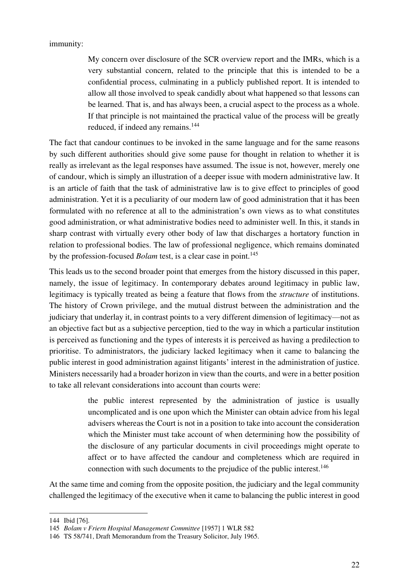#### immunity:

My concern over disclosure of the SCR overview report and the IMRs, which is a very substantial concern, related to the principle that this is intended to be a confidential process, culminating in a publicly published report. It is intended to allow all those involved to speak candidly about what happened so that lessons can be learned. That is, and has always been, a crucial aspect to the process as a whole. If that principle is not maintained the practical value of the process will be greatly reduced, if indeed any remains.<sup>144</sup>

The fact that candour continues to be invoked in the same language and for the same reasons by such different authorities should give some pause for thought in relation to whether it is really as irrelevant as the legal responses have assumed. The issue is not, however, merely one of candour, which is simply an illustration of a deeper issue with modern administrative law. It is an article of faith that the task of administrative law is to give effect to principles of good administration. Yet it is a peculiarity of our modern law of good administration that it has been formulated with no reference at all to the administration's own views as to what constitutes good administration, or what administrative bodies need to administer well. In this, it stands in sharp contrast with virtually every other body of law that discharges a hortatory function in relation to professional bodies. The law of professional negligence, which remains dominated by the profession-focused *Bolam* test, is a clear case in point.<sup>145</sup>

This leads us to the second broader point that emerges from the history discussed in this paper, namely, the issue of legitimacy. In contemporary debates around legitimacy in public law, legitimacy is typically treated as being a feature that flows from the *structure* of institutions. The history of Crown privilege, and the mutual distrust between the administration and the judiciary that underlay it, in contrast points to a very different dimension of legitimacy—not as an objective fact but as a subjective perception, tied to the way in which a particular institution is perceived as functioning and the types of interests it is perceived as having a predilection to prioritise. To administrators, the judiciary lacked legitimacy when it came to balancing the public interest in good administration against litigants' interest in the administration of justice. Ministers necessarily had a broader horizon in view than the courts, and were in a better position to take all relevant considerations into account than courts were:

> the public interest represented by the administration of justice is usually uncomplicated and is one upon which the Minister can obtain advice from his legal advisers whereas the Court is not in a position to take into account the consideration which the Minister must take account of when determining how the possibility of the disclosure of any particular documents in civil proceedings might operate to affect or to have affected the candour and completeness which are required in connection with such documents to the prejudice of the public interest.<sup>146</sup>

At the same time and coming from the opposite position, the judiciary and the legal community challenged the legitimacy of the executive when it came to balancing the public interest in good

<sup>144</sup> Ibid [76].

<sup>145</sup> *Bolam v Friern Hospital Management Committee* [1957] 1 WLR 582

<sup>146</sup> TS 58/741, Draft Memorandum from the Treasury Solicitor, July 1965.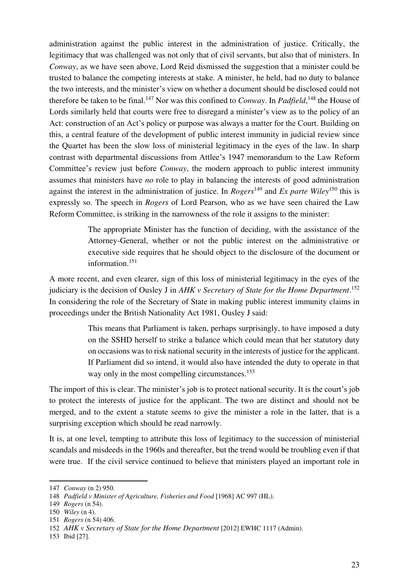administration against the public interest in the administration of justice. Critically, the legitimacy that was challenged was not only that of civil servants, but also that of ministers. In *Conway*, as we have seen above, Lord Reid dismissed the suggestion that a minister could be trusted to balance the competing interests at stake. A minister, he held, had no duty to balance the two interests, and the minister's view on whether a document should be disclosed could not therefore be taken to be final.<sup>147</sup> Nor was this confined to *Conway*. In *Padfield*,<sup>148</sup> the House of Lords similarly held that courts were free to disregard a minister's view as to the policy of an Act: construction of an Act's policy or purpose was always a matter for the Court. Building on this, a central feature of the development of public interest immunity in judicial review since the Quartet has been the slow loss of ministerial legitimacy in the eyes of the law. In sharp contrast with departmental discussions from Attlee's 1947 memorandum to the Law Reform Committee's review just before *Conway*, the modern approach to public interest immunity assumes that ministers have *no* role to play in balancing the interests of good administration against the interest in the administration of justice. In *Rogers*<sup>149</sup> and *Ex parte Wiley*<sup>150</sup> this is expressly so. The speech in *Rogers* of Lord Pearson, who as we have seen chaired the Law Reform Committee, is striking in the narrowness of the role it assigns to the minister:

> The appropriate Minister has the function of deciding, with the assistance of the Attorney-General, whether or not the public interest on the administrative or executive side requires that he should object to the disclosure of the document or information.<sup>151</sup>

A more recent, and even clearer, sign of this loss of ministerial legitimacy in the eyes of the judiciary is the decision of Ousley J in *AHK v Secretary of State for the Home Department*. 152 In considering the role of the Secretary of State in making public interest immunity claims in proceedings under the British Nationality Act 1981, Ousley J said:

> This means that Parliament is taken, perhaps surprisingly, to have imposed a duty on the SSHD herself to strike a balance which could mean that her statutory duty on occasions was to risk national security in the interests of justice for the applicant. If Parliament did so intend, it would also have intended the duty to operate in that way only in the most compelling circumstances.<sup>153</sup>

The import of this is clear. The minister's job is to protect national security. It is the court's job to protect the interests of justice for the applicant. The two are distinct and should not be merged, and to the extent a statute seems to give the minister a role in the latter, that is a surprising exception which should be read narrowly.

It is, at one level, tempting to attribute this loss of legitimacy to the succession of ministerial scandals and misdeeds in the 1960s and thereafter, but the trend would be troubling even if that were true. If the civil service continued to believe that ministers played an important role in

<sup>147</sup> *Conway* (n 2) 950.

<sup>148</sup> *Padfield v Minister of Agriculture, Fisheries and Food* [1968] AC 997 (HL).

<sup>149</sup> *Rogers* (n 54).

<sup>150</sup> *Wiley* (n 4).

<sup>151</sup> *Rogers* (n 54) 406.

<sup>152</sup> *AHK v Secretary of State for the Home Department* [2012] EWHC 1117 (Admin).

<sup>153</sup> Ibid [27].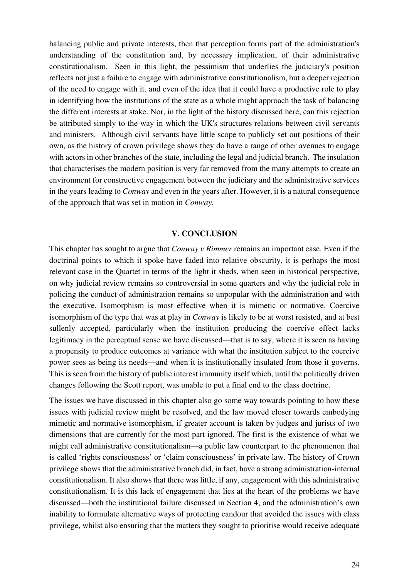balancing public and private interests, then that perception forms part of the administration's understanding of the constitution and, by necessary implication, of their administrative constitutionalism. Seen in this light, the pessimism that underlies the judiciary's position reflects not just a failure to engage with administrative constitutionalism, but a deeper rejection of the need to engage with it, and even of the idea that it could have a productive role to play in identifying how the institutions of the state as a whole might approach the task of balancing the different interests at stake. Nor, in the light of the history discussed here, can this rejection be attributed simply to the way in which the UK's structures relations between civil servants and ministers. Although civil servants have little scope to publicly set out positions of their own, as the history of crown privilege shows they do have a range of other avenues to engage with actors in other branches of the state, including the legal and judicial branch. The insulation that characterises the modern position is very far removed from the many attempts to create an environment for constructive engagement between the judiciary and the administrative services in the years leading to *Conway* and even in the years after. However, it is a natural consequence of the approach that was set in motion in *Conway*.

#### **V. CONCLUSION**

This chapter has sought to argue that *Conway v Rimmer* remains an important case. Even if the doctrinal points to which it spoke have faded into relative obscurity, it is perhaps the most relevant case in the Quartet in terms of the light it sheds, when seen in historical perspective, on why judicial review remains so controversial in some quarters and why the judicial role in policing the conduct of administration remains so unpopular with the administration and with the executive. Isomorphism is most effective when it is mimetic or normative. Coercive isomorphism of the type that was at play in *Conway* is likely to be at worst resisted, and at best sullenly accepted, particularly when the institution producing the coercive effect lacks legitimacy in the perceptual sense we have discussed—that is to say, where it is seen as having a propensity to produce outcomes at variance with what the institution subject to the coercive power sees as being its needs—and when it is institutionally insulated from those it governs. This is seen from the history of public interest immunity itself which, until the politically driven changes following the Scott report, was unable to put a final end to the class doctrine.

The issues we have discussed in this chapter also go some way towards pointing to how these issues with judicial review might be resolved, and the law moved closer towards embodying mimetic and normative isomorphism, if greater account is taken by judges and jurists of two dimensions that are currently for the most part ignored. The first is the existence of what we might call administrative constitutionalism—a public law counterpart to the phenomenon that is called 'rights consciousness' or 'claim consciousness' in private law. The history of Crown privilege shows that the administrative branch did, in fact, have a strong administration-internal constitutionalism. It also shows that there was little, if any, engagement with this administrative constitutionalism. It is this lack of engagement that lies at the heart of the problems we have discussed—both the institutional failure discussed in Section 4, and the administration's own inability to formulate alternative ways of protecting candour that avoided the issues with class privilege, whilst also ensuring that the matters they sought to prioritise would receive adequate